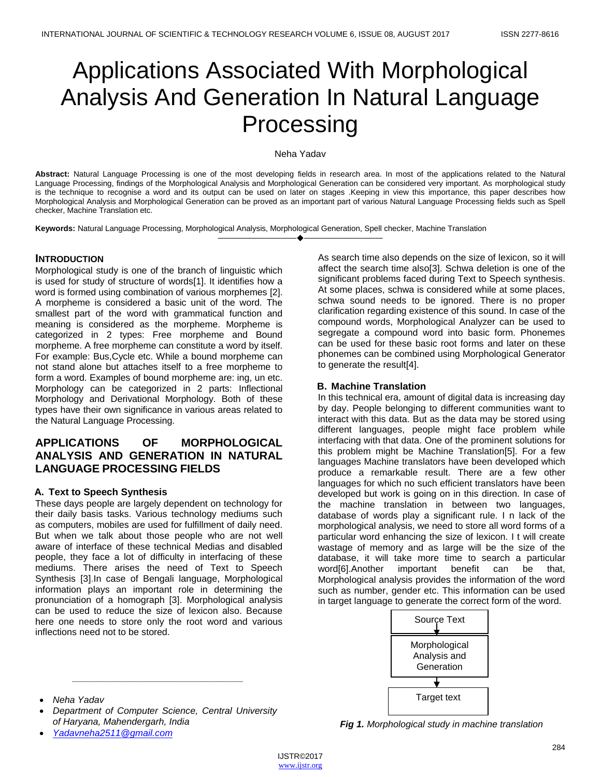# Applications Associated With Morphological Analysis And Generation In Natural Language Processing

### Neha Yadav

**Abstract:** Natural Language Processing is one of the most developing fields in research area. In most of the applications related to the Natural Language Processing, findings of the Morphological Analysis and Morphological Generation can be considered very important. As morphological study is the technique to recognise a word and its output can be used on later on stages .Keeping in view this importance, this paper describes how Morphological Analysis and Morphological Generation can be proved as an important part of various Natural Language Processing fields such as Spell checker, Machine Translation etc.

————————————————————

**Keywords:** Natural Language Processing, Morphological Analysis, Morphological Generation, Spell checker, Machine Translation

### **INTRODUCTION**

Morphological study is one of the branch of linguistic which is used for study of structure of words[1]. It identifies how a word is formed using combination of various morphemes [2]. A morpheme is considered a basic unit of the word. The smallest part of the word with grammatical function and meaning is considered as the morpheme. Morpheme is categorized in 2 types: Free morpheme and Bound morpheme. A free morpheme can constitute a word by itself. For example: Bus,Cycle etc. While a bound morpheme can not stand alone but attaches itself to a free morpheme to form a word. Examples of bound morpheme are: ing, un etc. Morphology can be categorized in 2 parts: Inflectional Morphology and Derivational Morphology. Both of these types have their own significance in various areas related to the Natural Language Processing.

## **APPLICATIONS OF MORPHOLOGICAL ANALYSIS AND GENERATION IN NATURAL LANGUAGE PROCESSING FIELDS**

### **A. Text to Speech Synthesis**

These days people are largely dependent on technology for their daily basis tasks. Various technology mediums such as computers, mobiles are used for fulfillment of daily need. But when we talk about those people who are not well aware of interface of these technical Medias and disabled people, they face a lot of difficulty in interfacing of these mediums. There arises the need of Text to Speech Synthesis [3].In case of Bengali language, Morphological information plays an important role in determining the pronunciation of a homograph [3]. Morphological analysis can be used to reduce the size of lexicon also. Because here one needs to store only the root word and various inflections need not to be stored.

As search time also depends on the size of lexicon, so it will affect the search time also[3]. Schwa deletion is one of the significant problems faced during Text to Speech synthesis. At some places, schwa is considered while at some places, schwa sound needs to be ignored. There is no proper clarification regarding existence of this sound. In case of the compound words, Morphological Analyzer can be used to segregate a compound word into basic form. Phonemes can be used for these basic root forms and later on these phonemes can be combined using Morphological Generator to generate the result[4].

#### **B. Machine Translation**

In this technical era, amount of digital data is increasing day by day. People belonging to different communities want to interact with this data. But as the data may be stored using different languages, people might face problem while interfacing with that data. One of the prominent solutions for this problem might be Machine Translation[5]. For a few languages Machine translators have been developed which produce a remarkable result. There are a few other languages for which no such efficient translators have been developed but work is going on in this direction. In case of the machine translation in between two languages, database of words play a significant rule. I n lack of the morphological analysis, we need to store all word forms of a particular word enhancing the size of lexicon. I t will create wastage of memory and as large will be the size of the database, it will take more time to search a particular word[6].Another important benefit can be that, Morphological analysis provides the information of the word such as number, gender etc. This information can be used in target language to generate the correct form of the word.



 *Department of Computer Science, Central University of Haryana, Mahendergarh, India*

*\_\_\_\_\_\_\_\_\_\_\_\_\_\_\_\_\_\_\_\_\_\_\_\_\_\_\_\_\_\_\_\_\_*

*[Yadavneha2511@gmail.com](mailto:Yadavneha2511@gmail.com)*

*Fig 1. Morphological study in machine translation*

*Neha Yadav*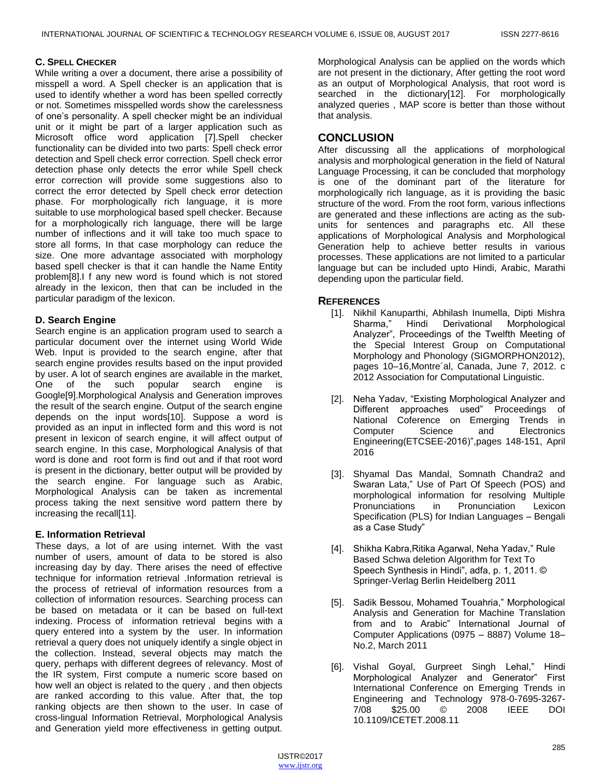### **C. SPELL CHECKER**

While writing a over a document, there arise a possibility of misspell a word. A Spell checker is an application that is used to identify whether a word has been spelled correctly or not. Sometimes misspelled words show the carelessness of one's personality. A spell checker might be an individual unit or it might be part of a larger application such as Microsoft office word application [7].Spell checker functionality can be divided into two parts: Spell check error detection and Spell check error correction. Spell check error detection phase only detects the error while Spell check error correction will provide some suggestions also to correct the error detected by Spell check error detection phase. For morphologically rich language, it is more suitable to use morphological based spell checker. Because for a morphologically rich language, there will be large number of inflections and it will take too much space to store all forms, In that case morphology can reduce the size. One more advantage associated with morphology based spell checker is that it can handle the Name Entity problem[8].I f any new word is found which is not stored already in the lexicon, then that can be included in the particular paradigm of the lexicon.

### **D. Search Engine**

Search engine is an application program used to search a particular document over the internet using World Wide Web. Input is provided to the search engine, after that search engine provides results based on the input provided by user. A lot of search engines are available in the market, One of the such popular search engine is Google[9].Morphological Analysis and Generation improves the result of the search engine. Output of the search engine depends on the input words[10]. Suppose a word is provided as an input in inflected form and this word is not present in lexicon of search engine, it will affect output of search engine. In this case, Morphological Analysis of that word is done and root form is find out and if that root word is present in the dictionary, better output will be provided by the search engine. For language such as Arabic, Morphological Analysis can be taken as incremental process taking the next sensitive word pattern there by increasing the recall[11].

### **E. Information Retrieval**

These days, a lot of are using internet. With the vast number of users, amount of data to be stored is also increasing day by day. There arises the need of effective technique for information retrieval .Information retrieval is the process of retrieval of information resources from a collection of information resources. Searching process can be based on metadata or it can be based on full-text indexing. Process of information retrieval begins with a query entered into a system by the user. In information retrieval a query does not uniquely identify a single object in the collection. Instead, several objects may match the query, perhaps with different degrees of relevancy. Most of the IR system, First compute a numeric score based on how well an object is related to the query , and then objects are ranked according to this value. After that, the top ranking objects are then shown to the user. In case of cross-lingual Information Retrieval, Morphological Analysis and Generation yield more effectiveness in getting output.

Morphological Analysis can be applied on the words which are not present in the dictionary, After getting the root word as an output of Morphological Analysis, that root word is searched in the dictionary[12]. For morphologically analyzed queries , MAP score is better than those without that analysis.

## **CONCLUSION**

After discussing all the applications of morphological analysis and morphological generation in the field of Natural Language Processing, it can be concluded that morphology is one of the dominant part of the literature for morphologically rich language, as it is providing the basic structure of the word. From the root form, various inflections are generated and these inflections are acting as the subunits for sentences and paragraphs etc. All these applications of Morphological Analysis and Morphological Generation help to achieve better results in various processes. These applications are not limited to a particular language but can be included upto Hindi, Arabic, Marathi depending upon the particular field.

### **REFERENCES**

- [1]. Nikhil Kanuparthi, Abhilash Inumella, Dipti Mishra Sharma,‖ Hindi Derivational Morphological Analyzer", Proceedings of the Twelfth Meeting of the Special Interest Group on Computational Morphology and Phonology (SIGMORPHON2012), pages 10–16,Montre´al, Canada, June 7, 2012. c 2012 Association for Computational Linguistic.
- [2]. Neha Yadav, "Existing Morphological Analyzer and Different approaches used" Proceedings of National Coference on Emerging Trends in Computer Science and Electronics Engineering(ETCSEE-2016)", pages 148-151, April 2016
- [3]. Shyamal Das Mandal, Somnath Chandra2 and Swaran Lata," Use of Part Of Speech (POS) and morphological information for resolving Multiple Pronunciations in Pronunciation Lexicon Specification (PLS) for Indian Languages – Bengali as a Case Study"
- [4]. Shikha Kabra, Ritika Agarwal, Neha Yadav," Rule Based Schwa deletion Algorithm for Text To Speech Synthesis in Hindi", adfa, p. 1, 2011. © Springer-Verlag Berlin Heidelberg 2011
- [5]. Sadik Bessou, Mohamed Touahria," Morphological Analysis and Generation for Machine Translation from and to Arabic" International Journal of Computer Applications (0975 – 8887) Volume 18– No.2, March 2011
- [6]. Vishal Goyal, Gurpreet Singh Lehal," Hindi Morphological Analyzer and Generator" First International Conference on Emerging Trends in Engineering and Technology 978-0-7695-3267- 7/08 \$25.00 © 2008 IEEE DOI 10.1109/ICETET.2008.11